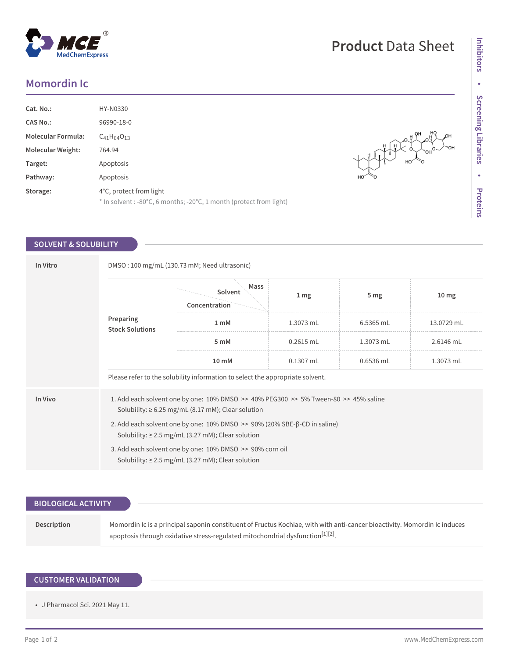# **Momordin Ic**

| Cat. No.:                 | HY-N0330                                                                                       |
|---------------------------|------------------------------------------------------------------------------------------------|
| <b>CAS No.:</b>           | 96990-18-0                                                                                     |
| <b>Molecular Formula:</b> | $C_{41}H_{64}O_{13}$                                                                           |
| <b>Molecular Weight:</b>  | 764.94                                                                                         |
| Target:                   | Apoptosis                                                                                      |
| Pathway:                  | Apoptosis                                                                                      |
| Storage:                  | 4°C, protect from light<br>* In solvent : -80°C, 6 months; -20°C, 1 month (protect from light) |

### **SOLVENT & SOLUBILITY**

| In Vitro | DMSO: 100 mg/mL (130.73 mM; Need ultrasonic)                                                                                                                  |                                  |                 |                 |                  |  |  |
|----------|---------------------------------------------------------------------------------------------------------------------------------------------------------------|----------------------------------|-----------------|-----------------|------------------|--|--|
|          | Preparing<br><b>Stock Solutions</b>                                                                                                                           | Mass<br>Solvent<br>Concentration | 1 <sub>mg</sub> | 5 <sub>mg</sub> | 10 <sub>mg</sub> |  |  |
|          |                                                                                                                                                               | 1 <sub>m</sub> M                 | 1.3073 mL       | 6.5365 mL       | 13.0729 mL       |  |  |
|          |                                                                                                                                                               | 5 <sub>m</sub> M                 | $0.2615$ mL     | $1.3073$ mL     | 2.6146 mL        |  |  |
|          |                                                                                                                                                               | 10 mM                            | $0.1307$ mL     | $0.6536$ mL     | 1.3073 mL        |  |  |
|          | Please refer to the solubility information to select the appropriate solvent.                                                                                 |                                  |                 |                 |                  |  |  |
| In Vivo  | 1. Add each solvent one by one: $10\%$ DMSO $\geq$ 40% PEG300 $\geq$ 5% Tween-80 $\geq$ 45% saline<br>Solubility: $\geq 6.25$ mg/mL (8.17 mM); Clear solution |                                  |                 |                 |                  |  |  |
|          | 2. Add each solvent one by one: 10% DMSO >> 90% (20% SBE-β-CD in saline)<br>Solubility: $\geq$ 2.5 mg/mL (3.27 mM); Clear solution                            |                                  |                 |                 |                  |  |  |
|          | 3. Add each solvent one by one: 10% DMSO >> 90% corn oil<br>Solubility: $\geq$ 2.5 mg/mL (3.27 mM); Clear solution                                            |                                  |                 |                 |                  |  |  |
|          |                                                                                                                                                               |                                  |                 |                 |                  |  |  |

| <b>BIOLOGICAL ACTIVITY</b> |                                                                                                                                                                                                                         |
|----------------------------|-------------------------------------------------------------------------------------------------------------------------------------------------------------------------------------------------------------------------|
| Description                | Momordin Ic is a principal saponin constituent of Fructus Kochiae, with with anti-cancer bioactivity. Momordin Ic induces<br>apoptosis through oxidative stress-regulated mitochondrial dysfunction <sup>[1][2]</sup> . |

## **CUSTOMER VALIDATION**

• J Pharmacol Sci. 2021 May 11.

 $\begin{picture}(130,10) \put(0,0){\line(1,0){10}} \put(15,0){\line(1,0){10}} \put(15,0){\line(1,0){10}} \put(15,0){\line(1,0){10}} \put(15,0){\line(1,0){10}} \put(15,0){\line(1,0){10}} \put(15,0){\line(1,0){10}} \put(15,0){\line(1,0){10}} \put(15,0){\line(1,0){10}} \put(15,0){\line(1,0){10}} \put(15,0){\line(1,0){10}} \put(15,0){\line($ 

он<br>™он